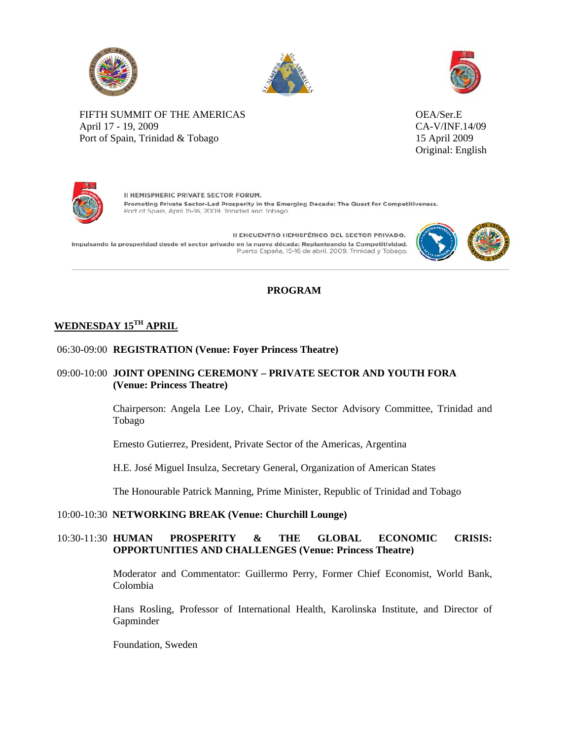





FIFTH SUMMIT OF THE AMERICAS OEA/Ser.E April 17 - 19, 2009 CA-V/INF.14/09 Port of Spain, Trinidad & Tobago 15 April 2009

Original: English



II HEMISPHERIC PRIVATE SECTOR FORUM. Promoting Private Sector-Led Prosperity in the Emerging Decade: The Quest for Competitiveness. Port of Spain, April 15-16, 2009. Trinidad and Tobago.

II ENCUENTRO HEMISFÉRICO DEL SECTOR PRIVADO. Impulsando la prosperidad desde el sector privado en la nueva década: Replanteando la Competitividad. Puerto España, 15-16 de abril, 2009. Trinidad y Tobago.



# **PROGRAM**

# **WEDNESDAY 15TH APRIL**

# 06:30-09:00 **REGISTRATION (Venue: Foyer Princess Theatre)**

# 09:00-10:00 **JOINT OPENING CEREMONY – PRIVATE SECTOR AND YOUTH FORA (Venue: Princess Theatre)**

Chairperson: Angela Lee Loy, Chair, Private Sector Advisory Committee, Trinidad and Tobago

Ernesto Gutierrez, President, Private Sector of the Americas, Argentina

H.E. José Miguel Insulza, Secretary General, Organization of American States

The Honourable Patrick Manning, Prime Minister, Republic of Trinidad and Tobago

### 10:00-10:30 **NETWORKING BREAK (Venue: Churchill Lounge)**

# 10:30-11:30 **HUMAN PROSPERITY & THE GLOBAL ECONOMIC CRISIS: OPPORTUNITIES AND CHALLENGES (Venue: Princess Theatre)**

Moderator and Commentator: Guillermo Perry, Former Chief Economist, World Bank, Colombia

Hans Rosling, Professor of International Health, Karolinska Institute, and Director of Gapminder

Foundation, Sweden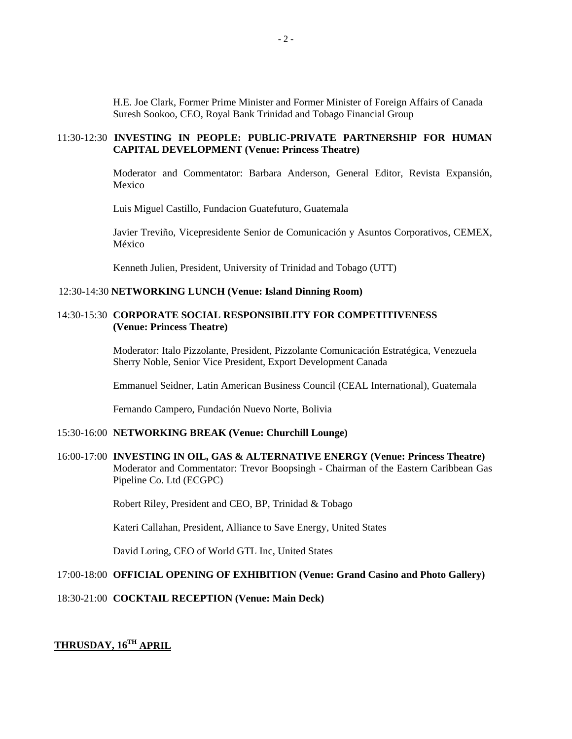H.E. Joe Clark, Former Prime Minister and Former Minister of Foreign Affairs of Canada Suresh Sookoo, CEO, Royal Bank Trinidad and Tobago Financial Group

### 11:30-12:30 **INVESTING IN PEOPLE: PUBLIC-PRIVATE PARTNERSHIP FOR HUMAN CAPITAL DEVELOPMENT (Venue: Princess Theatre)**

Moderator and Commentator: Barbara Anderson, General Editor, Revista Expansión, Mexico

Luis Miguel Castillo, Fundacion Guatefuturo, Guatemala

Javier Treviño, Vicepresidente Senior de Comunicación y Asuntos Corporativos, CEMEX, México

Kenneth Julien, President, University of Trinidad and Tobago (UTT)

#### 12:30-14:30 **NETWORKING LUNCH (Venue: Island Dinning Room)**

### 14:30-15:30 **CORPORATE SOCIAL RESPONSIBILITY FOR COMPETITIVENESS (Venue: Princess Theatre)**

Moderator: Italo Pizzolante, President, Pizzolante Comunicación Estratégica, Venezuela Sherry Noble, Senior Vice President, Export Development Canada

Emmanuel Seidner, Latin American Business Council (CEAL International), Guatemala

Fernando Campero, Fundación Nuevo Norte, Bolivia

### 15:30-16:00 **NETWORKING BREAK (Venue: Churchill Lounge)**

16:00-17:00 **INVESTING IN OIL, GAS & ALTERNATIVE ENERGY (Venue: Princess Theatre)**  Moderator and Commentator: Trevor Boopsingh - Chairman of the Eastern Caribbean Gas Pipeline Co. Ltd (ECGPC)

Robert Riley, President and CEO, BP, Trinidad & Tobago

Kateri Callahan, President, Alliance to Save Energy, United States

David Loring, CEO of World GTL Inc, United States

# 17:00-18:00 **OFFICIAL OPENING OF EXHIBITION (Venue: Grand Casino and Photo Gallery)**

### 18:30-21:00 **COCKTAIL RECEPTION (Venue: Main Deck)**

# **THRUSDAY, 16TH APRIL**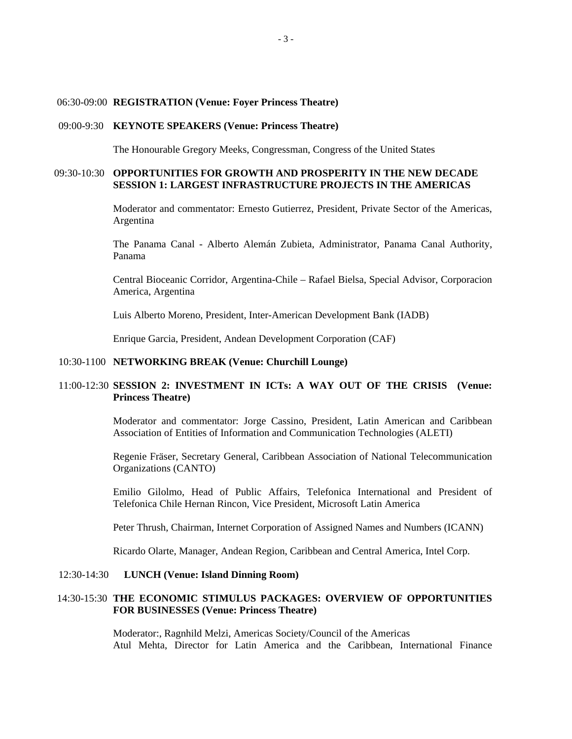06:30-09:00 **REGISTRATION (Venue: Foyer Princess Theatre)** 

#### 09:00-9:30 **KEYNOTE SPEAKERS (Venue: Princess Theatre)**

The Honourable Gregory Meeks, Congressman, Congress of the United States

### 09:30-10:30 **OPPORTUNITIES FOR GROWTH AND PROSPERITY IN THE NEW DECADE SESSION 1: LARGEST INFRASTRUCTURE PROJECTS IN THE AMERICAS**

Moderator and commentator: Ernesto Gutierrez, President, Private Sector of the Americas, Argentina

The Panama Canal - Alberto Alemán Zubieta, Administrator, Panama Canal Authority, Panama

Central Bioceanic Corridor, Argentina-Chile – Rafael Bielsa, Special Advisor, Corporacion America, Argentina

Luis Alberto Moreno, President, Inter-American Development Bank (IADB)

Enrique Garcia, President, Andean Development Corporation (CAF)

#### 10:30-1100 **NETWORKING BREAK (Venue: Churchill Lounge)**

# 11:00-12:30 **SESSION 2: INVESTMENT IN ICTs: A WAY OUT OF THE CRISIS (Venue: Princess Theatre)**

Moderator and commentator: Jorge Cassino, President, Latin American and Caribbean Association of Entities of Information and Communication Technologies (ALETI)

Regenie Fräser, Secretary General, Caribbean Association of National Telecommunication Organizations (CANTO)

Emilio Gilolmo, Head of Public Affairs, Telefonica International and President of Telefonica Chile Hernan Rincon, Vice President, Microsoft Latin America

Peter Thrush, Chairman, Internet Corporation of Assigned Names and Numbers (ICANN)

Ricardo Olarte, Manager, Andean Region, Caribbean and Central America, Intel Corp.

### 12:30-14:30 **LUNCH (Venue: Island Dinning Room)**

# 14:30-15:30 **THE ECONOMIC STIMULUS PACKAGES: OVERVIEW OF OPPORTUNITIES FOR BUSINESSES (Venue: Princess Theatre)**

Moderator:, Ragnhild Melzi, Americas Society/Council of the Americas Atul Mehta, Director for Latin America and the Caribbean, International Finance